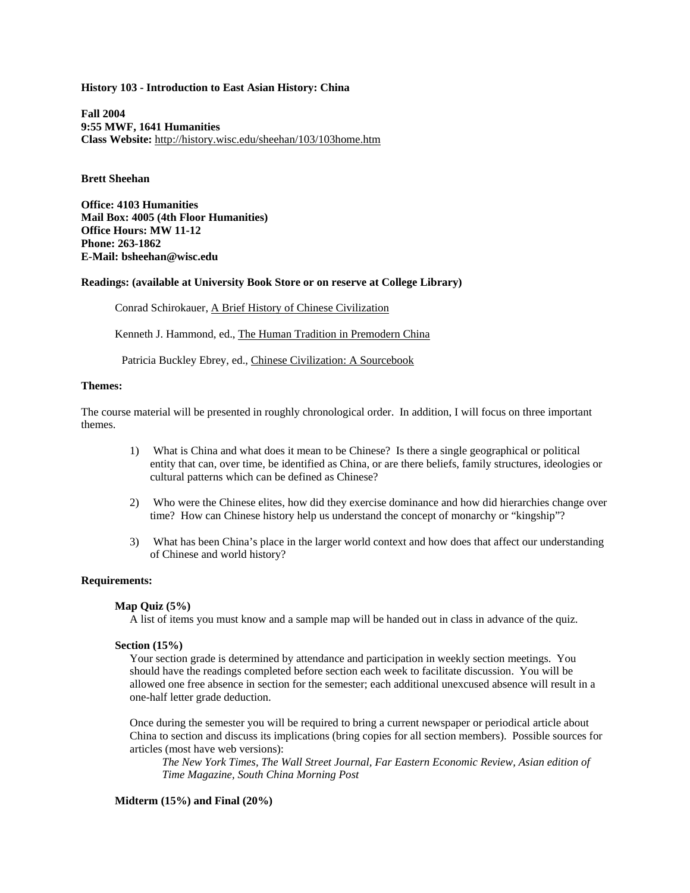### **History 103 - Introduction to East Asian History: China**

**Fall 2004 9:55 MWF, 1641 Humanities Class Website:** http://history.wisc.edu/sheehan/103/103home.htm

# **Brett Sheehan**

**Office: 4103 Humanities Mail Box: 4005 (4th Floor Humanities) Office Hours: MW 11-12 Phone: 263-1862 E-Mail: bsheehan@wisc.edu**

### **Readings: (available at University Book Store or on reserve at College Library)**

Conrad Schirokauer, A Brief History of Chinese Civilization

Kenneth J. Hammond, ed., The Human Tradition in Premodern China

Patricia Buckley Ebrey, ed., Chinese Civilization: A Sourcebook

## **Themes:**

The course material will be presented in roughly chronological order. In addition, I will focus on three important themes.

- 1) What is China and what does it mean to be Chinese? Is there a single geographical or political entity that can, over time, be identified as China, or are there beliefs, family structures, ideologies or cultural patterns which can be defined as Chinese?
- 2) Who were the Chinese elites, how did they exercise dominance and how did hierarchies change over time? How can Chinese history help us understand the concept of monarchy or "kingship"?
- 3) What has been China's place in the larger world context and how does that affect our understanding of Chinese and world history?

### **Requirements:**

### **Map Quiz (5%)**

A list of items you must know and a sample map will be handed out in class in advance of the quiz.

### **Section (15%)**

Your section grade is determined by attendance and participation in weekly section meetings. You should have the readings completed before section each week to facilitate discussion. You will be allowed one free absence in section for the semester; each additional unexcused absence will result in a one-half letter grade deduction.

Once during the semester you will be required to bring a current newspaper or periodical article about China to section and discuss its implications (bring copies for all section members). Possible sources for articles (most have web versions):

*The New York Times, The Wall Street Journal, Far Eastern Economic Review, Asian edition of Time Magazine, South China Morning Post*

# **Midterm (15%) and Final (20%)**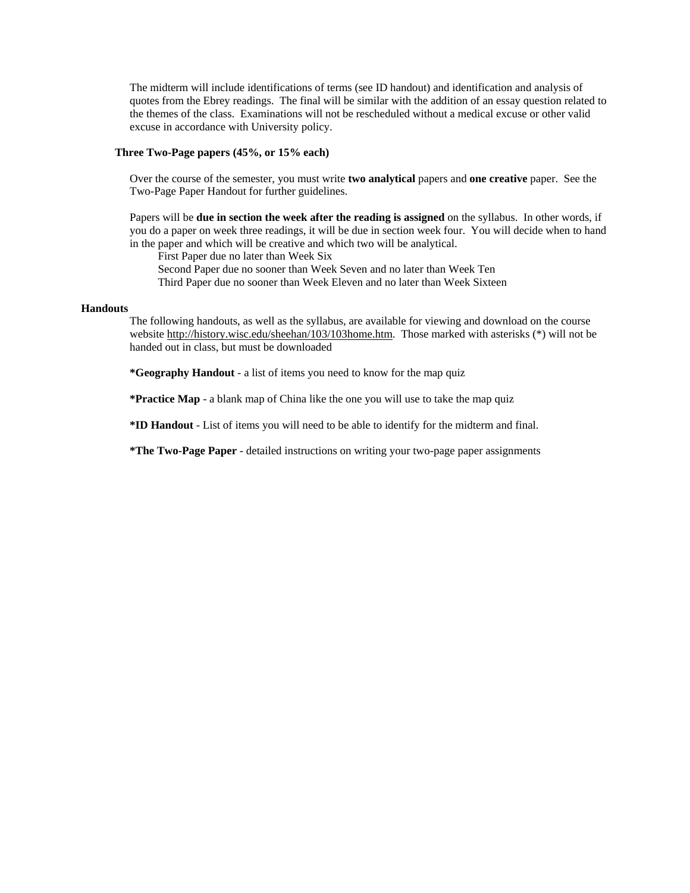The midterm will include identifications of terms (see ID handout) and identification and analysis of quotes from the Ebrey readings. The final will be similar with the addition of an essay question related to the themes of the class. Examinations will not be rescheduled without a medical excuse or other valid excuse in accordance with University policy.

### **Three Two-Page papers (45%, or 15% each)**

Over the course of the semester, you must write **two analytical** papers and **one creative** paper. See the Two-Page Paper Handout for further guidelines.

Papers will be **due in section the week after the reading is assigned** on the syllabus. In other words, if you do a paper on week three readings, it will be due in section week four. You will decide when to hand in the paper and which will be creative and which two will be analytical.

 First Paper due no later than Week Six Second Paper due no sooner than Week Seven and no later than Week Ten Third Paper due no sooner than Week Eleven and no later than Week Sixteen

#### **Handouts**

The following handouts, as well as the syllabus, are available for viewing and download on the course website [http://history.wisc.edu/sheehan/103/103home.htm.](http://history.wisc.edu/sheehan/103/103home.htm) Those marked with asterisks (\*) will not be handed out in class, but must be downloaded

**\*Geography Handout** - a list of items you need to know for the map quiz

**\*Practice Map** - a blank map of China like the one you will use to take the map quiz

**\*ID Handout** - List of items you will need to be able to identify for the midterm and final.

**\*The Two-Page Paper** - detailed instructions on writing your two-page paper assignments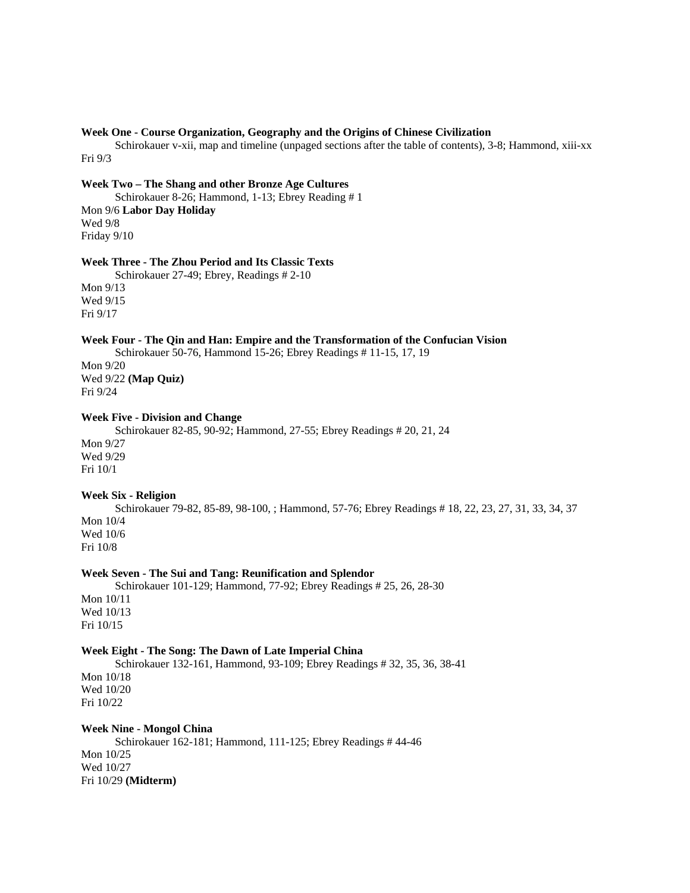## **Week One - Course Organization, Geography and the Origins of Chinese Civilization**

 Schirokauer v-xii, map and timeline (unpaged sections after the table of contents), 3-8; Hammond, xiii-xx Fri 9/3

**Week Two – The Shang and other Bronze Age Cultures**

 Schirokauer 8-26; Hammond, 1-13; Ebrey Reading # 1 Mon 9/6 **Labor Day Holiday** Wed 9/8 Friday 9/10

## **Week Three - The Zhou Period and Its Classic Texts**

 Schirokauer 27-49; Ebrey, Readings # 2-10 Mon 9/13 Wed 9/15 Fri 9/17

### **Week Four - The Qin and Han: Empire and the Transformation of the Confucian Vision**

 Schirokauer 50-76, Hammond 15-26; Ebrey Readings # 11-15, 17, 19 Mon 9/20 Wed 9/22 **(Map Quiz)**

Fri 9/24

# **Week Five - Division and Change**

 Schirokauer 82-85, 90-92; Hammond, 27-55; Ebrey Readings # 20, 21, 24 Mon 9/27 Wed 9/29 Fri 10/1

# **Week Six - Religion**

 Schirokauer 79-82, 85-89, 98-100, ; Hammond, 57-76; Ebrey Readings # 18, 22, 23, 27, 31, 33, 34, 37 Mon 10/4 Wed 10/6 Fri 10/8

# **Week Seven - The Sui and Tang: Reunification and Splendor**

Schirokauer 101-129; Hammond, 77-92; Ebrey Readings # 25, 26, 28-30

Mon 10/11 Wed 10/13 Fri 10/15

## **Week Eight - The Song: The Dawn of Late Imperial China**

 Schirokauer 132-161, Hammond, 93-109; Ebrey Readings # 32, 35, 36, 38-41 Mon 10/18 Wed 10/20 Fri 10/22

### **Week Nine - Mongol China**

 Schirokauer 162-181; Hammond, 111-125; Ebrey Readings # 44-46 Mon 10/25 Wed 10/27 Fri 10/29 **(Midterm)**